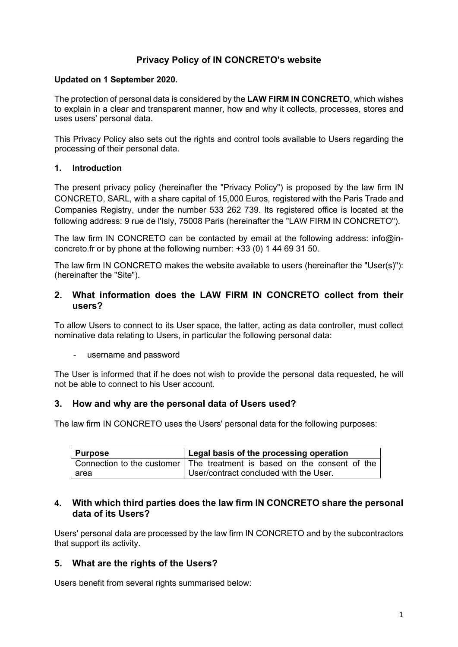# **Privacy Policy of IN CONCRETO's website**

### **Updated on 1 September 2020.**

The protection of personal data is considered by the **LAW FIRM IN CONCRETO**, which wishes to explain in a clear and transparent manner, how and why it collects, processes, stores and uses users' personal data.

This Privacy Policy also sets out the rights and control tools available to Users regarding the processing of their personal data.

### **1. Introduction**

The present privacy policy (hereinafter the "Privacy Policy") is proposed by the law firm IN CONCRETO, SARL, with a share capital of 15,000 Euros, registered with the Paris Trade and Companies Registry, under the number 533 262 739. Its registered office is located at the following address: 9 rue de l'Isly, 75008 Paris (hereinafter the "LAW FIRM IN CONCRETO").

The law firm IN CONCRETO can be contacted by email at the following address: info@inconcreto.fr or by phone at the following number: +33 (0) 1 44 69 31 50.

The law firm IN CONCRETO makes the website available to users (hereinafter the "User(s)"): (hereinafter the "Site").

### **2. What information does the LAW FIRM IN CONCRETO collect from their users?**

To allow Users to connect to its User space, the latter, acting as data controller, must collect nominative data relating to Users, in particular the following personal data:

- username and password

The User is informed that if he does not wish to provide the personal data requested, he will not be able to connect to his User account.

## **3. How and why are the personal data of Users used?**

The law firm IN CONCRETO uses the Users' personal data for the following purposes:

| Purpose | Legal basis of the processing operation                                   |
|---------|---------------------------------------------------------------------------|
|         | Connection to the customer   The treatment is based on the consent of the |
| l area  | User/contract concluded with the User.                                    |

### **4. With which third parties does the law firm IN CONCRETO share the personal data of its Users?**

Users' personal data are processed by the law firm IN CONCRETO and by the subcontractors that support its activity.

## **5. What are the rights of the Users?**

Users benefit from several rights summarised below: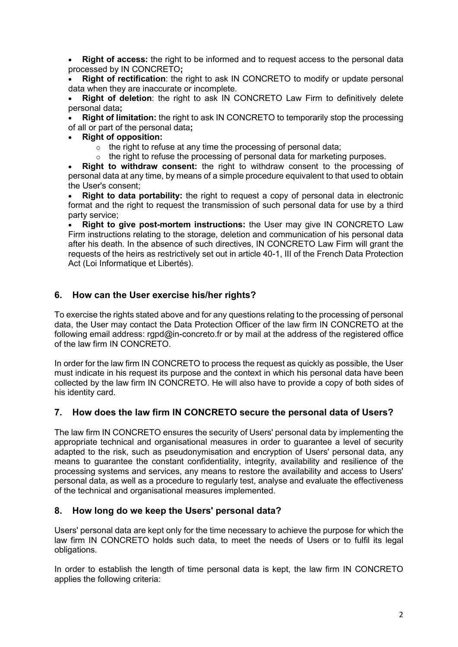• **Right of access:** the right to be informed and to request access to the personal data processed by IN CONCRETO**;**

**Right of rectification**: the right to ask IN CONCRETO to modify or update personal data when they are inaccurate or incomplete.

**Right of deletion**: the right to ask IN CONCRETO Law Firm to definitively delete personal data**;**

**Right of limitation:** the right to ask IN CONCRETO to temporarily stop the processing of all or part of the personal data**;**

• **Right of opposition:**

 $\circ$  the right to refuse at any time the processing of personal data;

 $\circ$  the right to refuse the processing of personal data for marketing purposes.

• **Right to withdraw consent:** the right to withdraw consent to the processing of personal data at any time, by means of a simple procedure equivalent to that used to obtain the User's consent;

• **Right to data portability:** the right to request a copy of personal data in electronic format and the right to request the transmission of such personal data for use by a third party service;

• **Right to give post-mortem instructions:** the User may give IN CONCRETO Law Firm instructions relating to the storage, deletion and communication of his personal data after his death. In the absence of such directives, IN CONCRETO Law Firm will grant the requests of the heirs as restrictively set out in article 40-1, III of the French Data Protection Act (Loi Informatique et Libertés).

# **6. How can the User exercise his/her rights?**

To exercise the rights stated above and for any questions relating to the processing of personal data, the User may contact the Data Protection Officer of the law firm IN CONCRETO at the following email address: rgpd@in-concreto.fr or by mail at the address of the registered office of the law firm IN CONCRETO.

In order for the law firm IN CONCRETO to process the request as quickly as possible, the User must indicate in his request its purpose and the context in which his personal data have been collected by the law firm IN CONCRETO. He will also have to provide a copy of both sides of his identity card.

## **7. How does the law firm IN CONCRETO secure the personal data of Users?**

The law firm IN CONCRETO ensures the security of Users' personal data by implementing the appropriate technical and organisational measures in order to guarantee a level of security adapted to the risk, such as pseudonymisation and encryption of Users' personal data, any means to guarantee the constant confidentiality, integrity, availability and resilience of the processing systems and services, any means to restore the availability and access to Users' personal data, as well as a procedure to regularly test, analyse and evaluate the effectiveness of the technical and organisational measures implemented.

# **8. How long do we keep the Users' personal data?**

Users' personal data are kept only for the time necessary to achieve the purpose for which the law firm IN CONCRETO holds such data, to meet the needs of Users or to fulfil its legal obligations.

In order to establish the length of time personal data is kept, the law firm IN CONCRETO applies the following criteria: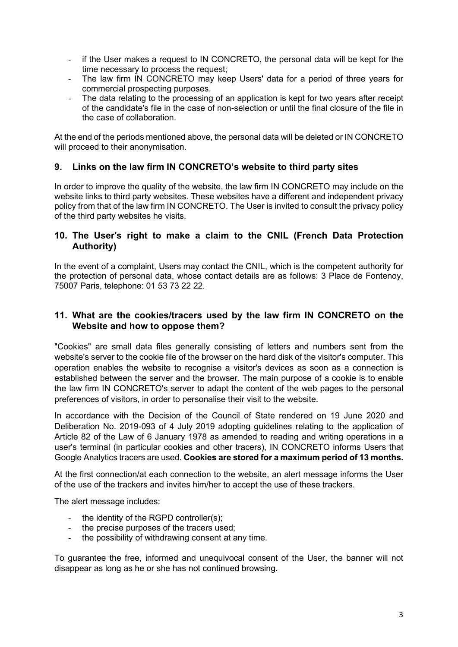- if the User makes a request to IN CONCRETO, the personal data will be kept for the time necessary to process the request;
- The law firm IN CONCRETO may keep Users' data for a period of three years for commercial prospecting purposes.
- The data relating to the processing of an application is kept for two years after receipt of the candidate's file in the case of non-selection or until the final closure of the file in the case of collaboration.

At the end of the periods mentioned above, the personal data will be deleted or IN CONCRETO will proceed to their anonymisation.

## **9. Links on the law firm IN CONCRETO's website to third party sites**

In order to improve the quality of the website, the law firm IN CONCRETO may include on the website links to third party websites. These websites have a different and independent privacy policy from that of the law firm IN CONCRETO. The User is invited to consult the privacy policy of the third party websites he visits.

## **10. The User's right to make a claim to the CNIL (French Data Protection Authority)**

In the event of a complaint, Users may contact the CNIL, which is the competent authority for the protection of personal data, whose contact details are as follows: 3 Place de Fontenoy, 75007 Paris, telephone: 01 53 73 22 22.

## **11. What are the cookies/tracers used by the law firm IN CONCRETO on the Website and how to oppose them?**

"Cookies" are small data files generally consisting of letters and numbers sent from the website's server to the cookie file of the browser on the hard disk of the visitor's computer. This operation enables the website to recognise a visitor's devices as soon as a connection is established between the server and the browser. The main purpose of a cookie is to enable the law firm IN CONCRETO's server to adapt the content of the web pages to the personal preferences of visitors, in order to personalise their visit to the website.

In accordance with the Decision of the Council of State rendered on 19 June 2020 and Deliberation No. 2019-093 of 4 July 2019 adopting guidelines relating to the application of Article 82 of the Law of 6 January 1978 as amended to reading and writing operations in a user's terminal (in particular cookies and other tracers), IN CONCRETO informs Users that Google Analytics tracers are used. **Cookies are stored for a maximum period of 13 months.**

At the first connection/at each connection to the website, an alert message informs the User of the use of the trackers and invites him/her to accept the use of these trackers.

The alert message includes:

- the identity of the RGPD controller(s):
- the precise purposes of the tracers used;
- the possibility of withdrawing consent at any time.

To guarantee the free, informed and unequivocal consent of the User, the banner will not disappear as long as he or she has not continued browsing.